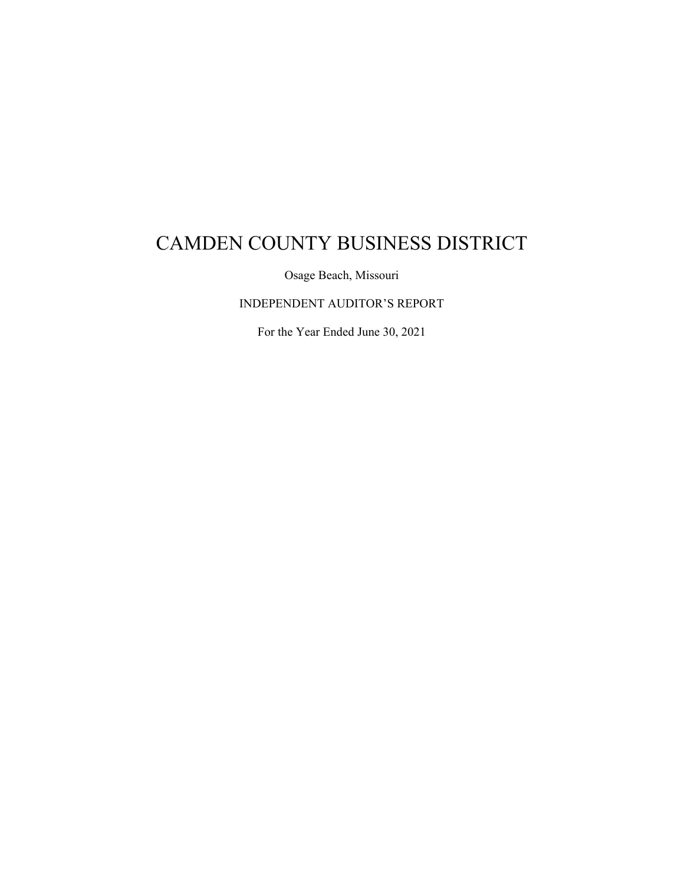Osage Beach, Missouri

INDEPENDENT AUDITOR'S REPORT

For the Year Ended June 30, 2021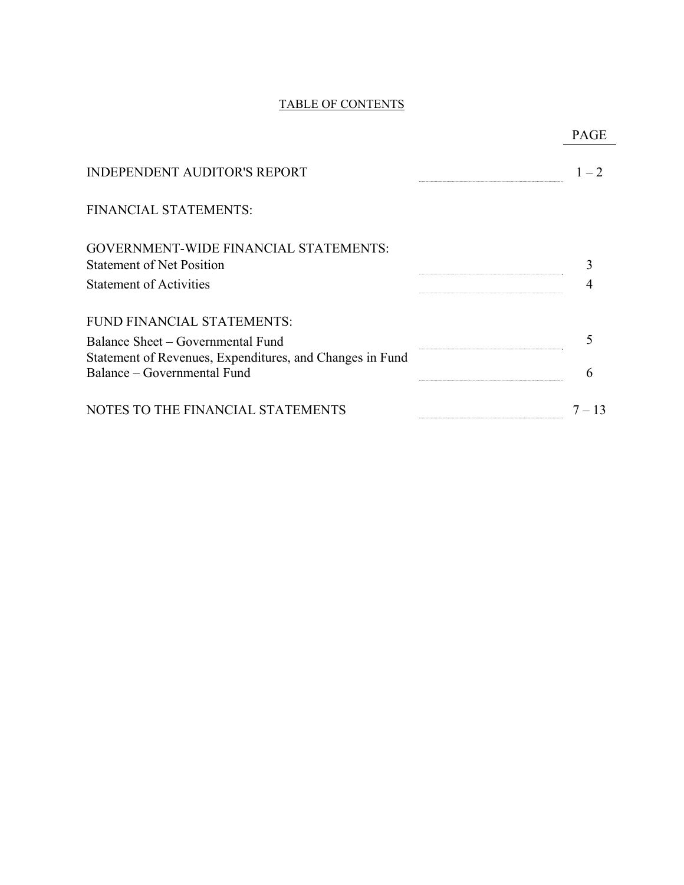# TABLE OF CONTENTS

| <b>INDEPENDENT AUDITOR'S REPORT</b>                                                           | $1 - 2$  |
|-----------------------------------------------------------------------------------------------|----------|
| FINANCIAL STATEMENTS:                                                                         |          |
| <b>GOVERNMENT-WIDE FINANCIAL STATEMENTS:</b>                                                  |          |
| <b>Statement of Net Position</b>                                                              |          |
| <b>Statement of Activities</b>                                                                |          |
| FUND FINANCIAL STATEMENTS:                                                                    |          |
| Balance Sheet – Governmental Fund<br>Statement of Revenues, Expenditures, and Changes in Fund |          |
| Balance - Governmental Fund                                                                   | 6        |
| NOTES TO THE FINANCIAL STATEMENTS                                                             | $7 - 13$ |

# PAGE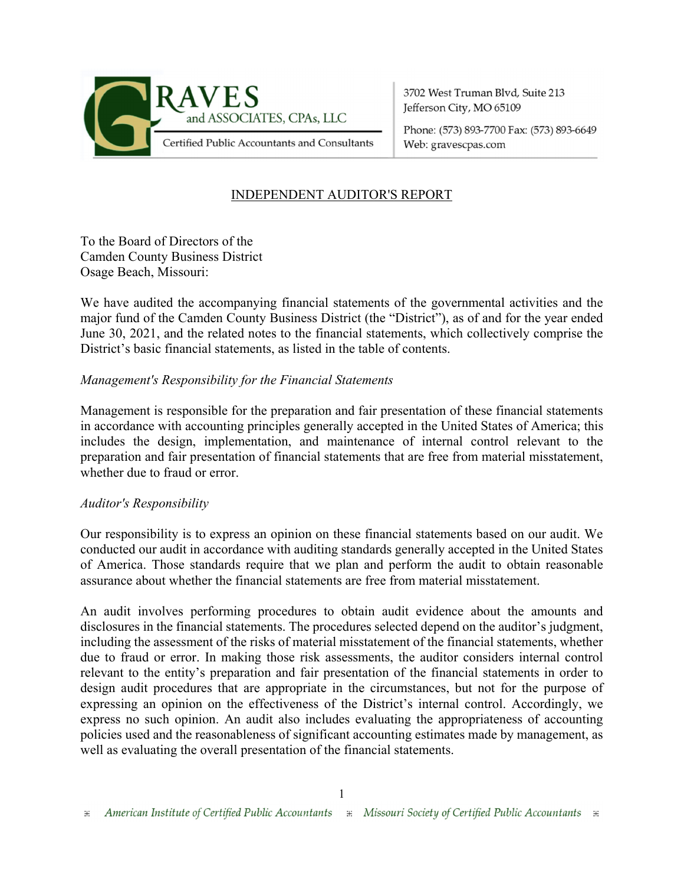

3702 West Truman Blvd, Suite 213 Jefferson City, MO 65109

Phone: (573) 893-7700 Fax: (573) 893-6649 Web: gravescpas.com

# INDEPENDENT AUDITOR'S REPORT

To the Board of Directors of the Camden County Business District Osage Beach, Missouri:

We have audited the accompanying financial statements of the governmental activities and the major fund of the Camden County Business District (the "District"), as of and for the year ended June 30, 2021, and the related notes to the financial statements, which collectively comprise the District's basic financial statements, as listed in the table of contents.

#### *Management's Responsibility for the Financial Statements*

Management is responsible for the preparation and fair presentation of these financial statements in accordance with accounting principles generally accepted in the United States of America; this includes the design, implementation, and maintenance of internal control relevant to the preparation and fair presentation of financial statements that are free from material misstatement, whether due to fraud or error.

#### *Auditor's Responsibility*

Our responsibility is to express an opinion on these financial statements based on our audit. We conducted our audit in accordance with auditing standards generally accepted in the United States of America. Those standards require that we plan and perform the audit to obtain reasonable assurance about whether the financial statements are free from material misstatement.

An audit involves performing procedures to obtain audit evidence about the amounts and disclosures in the financial statements. The procedures selected depend on the auditor's judgment, including the assessment of the risks of material misstatement of the financial statements, whether due to fraud or error. In making those risk assessments, the auditor considers internal control relevant to the entity's preparation and fair presentation of the financial statements in order to design audit procedures that are appropriate in the circumstances, but not for the purpose of expressing an opinion on the effectiveness of the District's internal control. Accordingly, we express no such opinion. An audit also includes evaluating the appropriateness of accounting policies used and the reasonableness of significant accounting estimates made by management, as well as evaluating the overall presentation of the financial statements.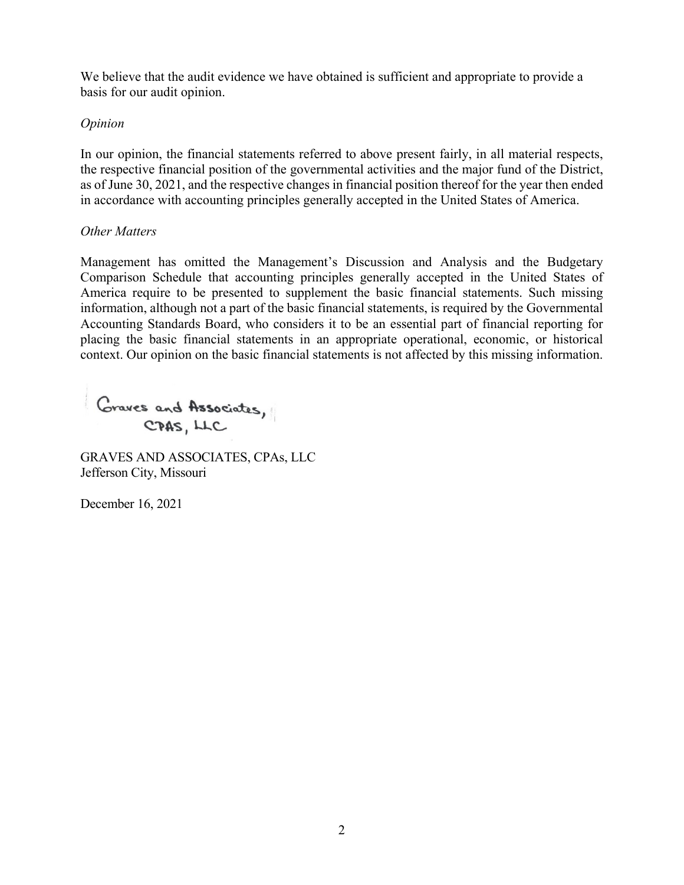We believe that the audit evidence we have obtained is sufficient and appropriate to provide a basis for our audit opinion.

#### *Opinion*

In our opinion, the financial statements referred to above present fairly, in all material respects, the respective financial position of the governmental activities and the major fund of the District, as of June 30, 2021, and the respective changes in financial position thereof for the year then ended in accordance with accounting principles generally accepted in the United States of America.

#### *Other Matters*

Management has omitted the Management's Discussion and Analysis and the Budgetary Comparison Schedule that accounting principles generally accepted in the United States of America require to be presented to supplement the basic financial statements. Such missing information, although not a part of the basic financial statements, is required by the Governmental Accounting Standards Board, who considers it to be an essential part of financial reporting for placing the basic financial statements in an appropriate operational, economic, or historical context. Our opinion on the basic financial statements is not affected by this missing information.

Graves and Associates,

GRAVES AND ASSOCIATES, CPAs, LLC Jefferson City, Missouri

December 16, 2021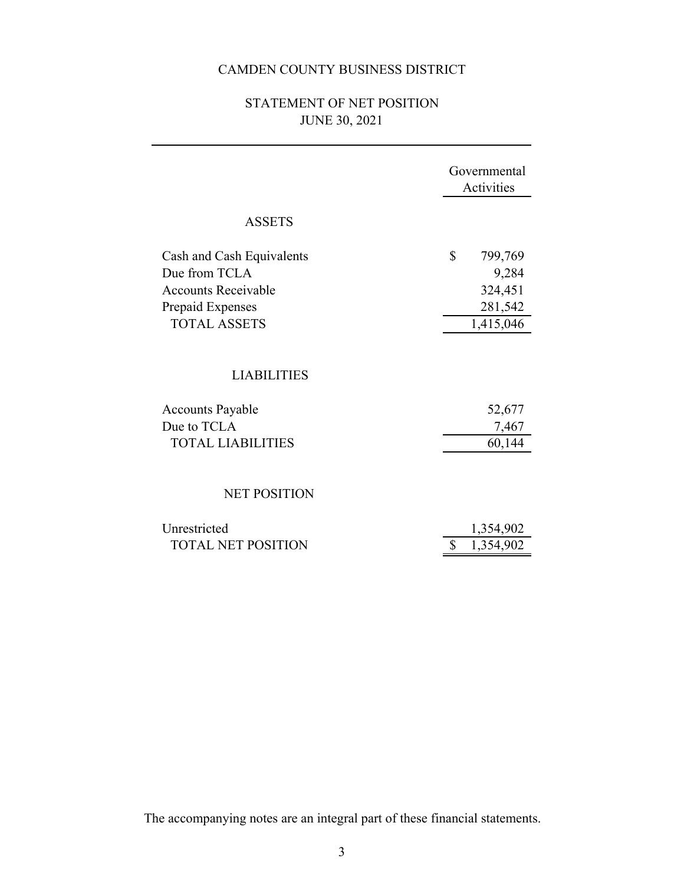# JUNE 30, 2021 STATEMENT OF NET POSITION

|                                                                                                                     | Governmental<br>Activities                                |
|---------------------------------------------------------------------------------------------------------------------|-----------------------------------------------------------|
| <b>ASSETS</b>                                                                                                       |                                                           |
| Cash and Cash Equivalents<br>Due from TCLA<br><b>Accounts Receivable</b><br>Prepaid Expenses<br><b>TOTAL ASSETS</b> | \$<br>799,769<br>9,284<br>324,451<br>281,542<br>1,415,046 |
| <b>LIABILITIES</b>                                                                                                  |                                                           |
| <b>Accounts Payable</b><br>Due to TCLA<br><b>TOTAL LIABILITIES</b>                                                  | 52,677<br>7,467<br>60,144                                 |
| <b>NET POSITION</b>                                                                                                 |                                                           |
| Unrestricted<br><b>TOTAL NET POSITION</b>                                                                           | 1,354,902<br>1,354,902                                    |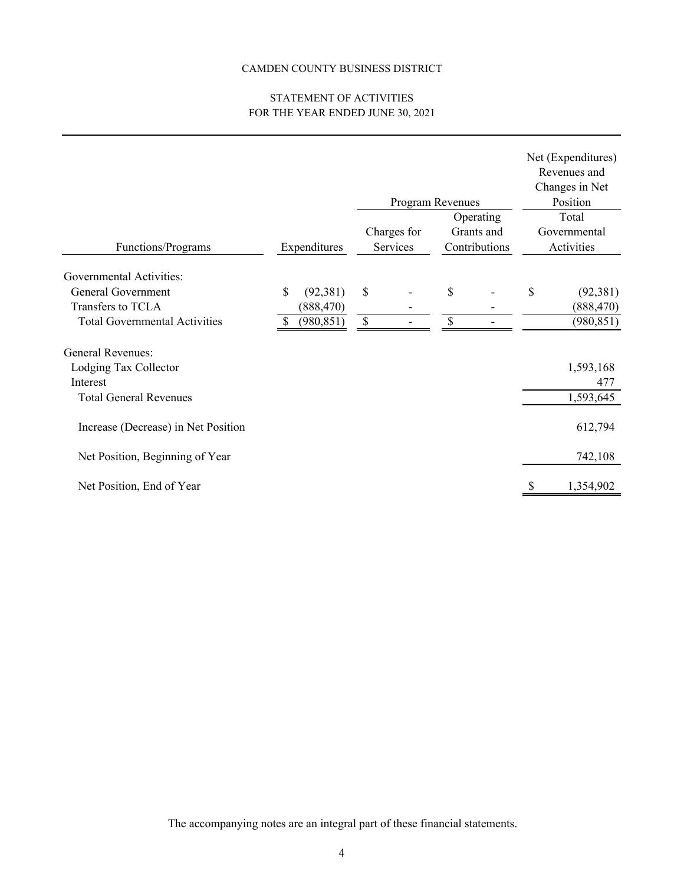#### FOR THE YEAR ENDED JUNE 30, 2021 STATEMENT OF ACTIVITIES

|                                      |                 |                           | Program Revenues | Operating     | Net (Expenditures)<br>Revenues and<br>Changes in Net<br>Position<br>Total |
|--------------------------------------|-----------------|---------------------------|------------------|---------------|---------------------------------------------------------------------------|
|                                      |                 |                           | Charges for      | Grants and    | Governmental                                                              |
| Functions/Programs                   | Expenditures    |                           | Services         | Contributions | Activities                                                                |
| <b>Governmental Activities:</b>      |                 |                           |                  |               |                                                                           |
| General Government                   | \$<br>(92, 381) | $\boldsymbol{\mathsf{S}}$ |                  | \$            | \$<br>(92, 381)                                                           |
| Transfers to TCLA                    | (888, 470)      |                           |                  |               | (888, 470)                                                                |
| <b>Total Governmental Activities</b> | (980, 851)      | $\boldsymbol{\mathsf{S}}$ |                  | \$            | (980, 851)                                                                |
| <b>General Revenues:</b>             |                 |                           |                  |               |                                                                           |
| Lodging Tax Collector                |                 |                           |                  |               | 1,593,168                                                                 |
| Interest                             |                 |                           |                  |               | 477                                                                       |
| <b>Total General Revenues</b>        |                 |                           |                  |               | 1,593,645                                                                 |
| Increase (Decrease) in Net Position  |                 |                           |                  |               | 612,794                                                                   |
| Net Position, Beginning of Year      |                 |                           |                  |               | 742,108                                                                   |
| Net Position, End of Year            |                 |                           |                  |               | 1,354,902                                                                 |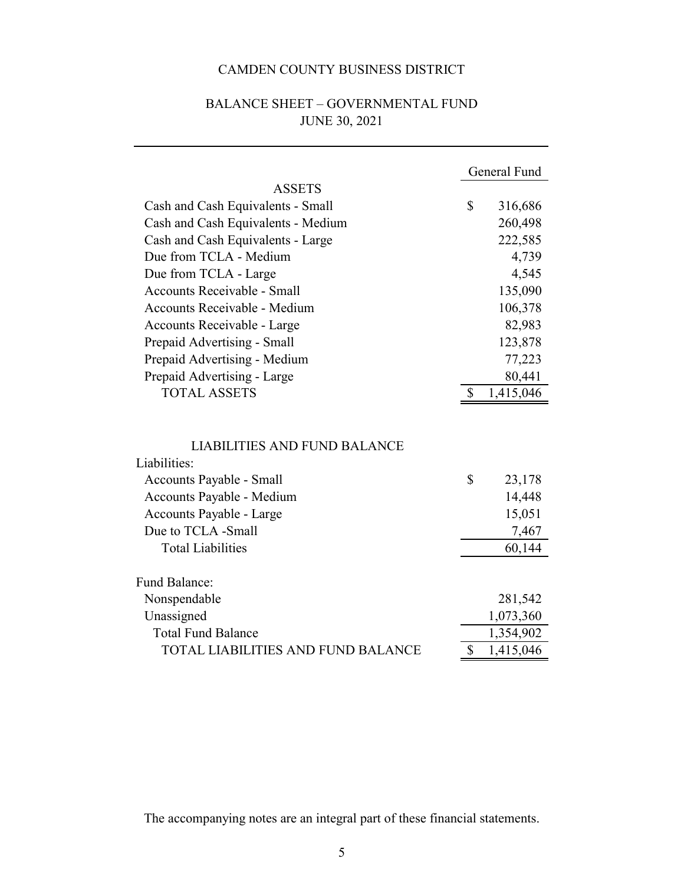|                                           |              | General Fund |
|-------------------------------------------|--------------|--------------|
| <b>ASSETS</b>                             |              |              |
| Cash and Cash Equivalents - Small         | \$           | 316,686      |
| Cash and Cash Equivalents - Medium        |              | 260,498      |
| Cash and Cash Equivalents - Large         |              | 222,585      |
| Due from TCLA - Medium                    |              | 4,739        |
| Due from TCLA - Large                     |              | 4,545        |
| Accounts Receivable - Small               |              | 135,090      |
| <b>Accounts Receivable - Medium</b>       |              | 106,378      |
| Accounts Receivable - Large               |              | 82,983       |
| Prepaid Advertising - Small               |              | 123,878      |
| Prepaid Advertising - Medium              |              | 77,223       |
| Prepaid Advertising - Large               |              | 80,441       |
| <b>TOTAL ASSETS</b>                       | \$           | 1,415,046    |
|                                           |              |              |
|                                           |              |              |
| <b>LIABILITIES AND FUND BALANCE</b>       |              |              |
| Liabilities:                              |              |              |
| Accounts Payable - Small                  | \$           | 23,178       |
| Accounts Payable - Medium                 |              | 14,448       |
| Accounts Payable - Large                  |              | 15,051       |
| Due to TCLA -Small                        |              | 7,467        |
| <b>Total Liabilities</b>                  |              | 60,144       |
|                                           |              |              |
| <b>Fund Balance:</b>                      |              |              |
| Nonspendable                              |              | 281,542      |
| Unassigned                                |              | 1,073,360    |
| <b>Total Fund Balance</b>                 |              | 1,354,902    |
| <b>TOTAL LIABILITIES AND FUND BALANCE</b> | $\mathbb{S}$ | 1,415,046    |

# JUNE 30, 2021 BALANCE SHEET – GOVERNMENTAL FUND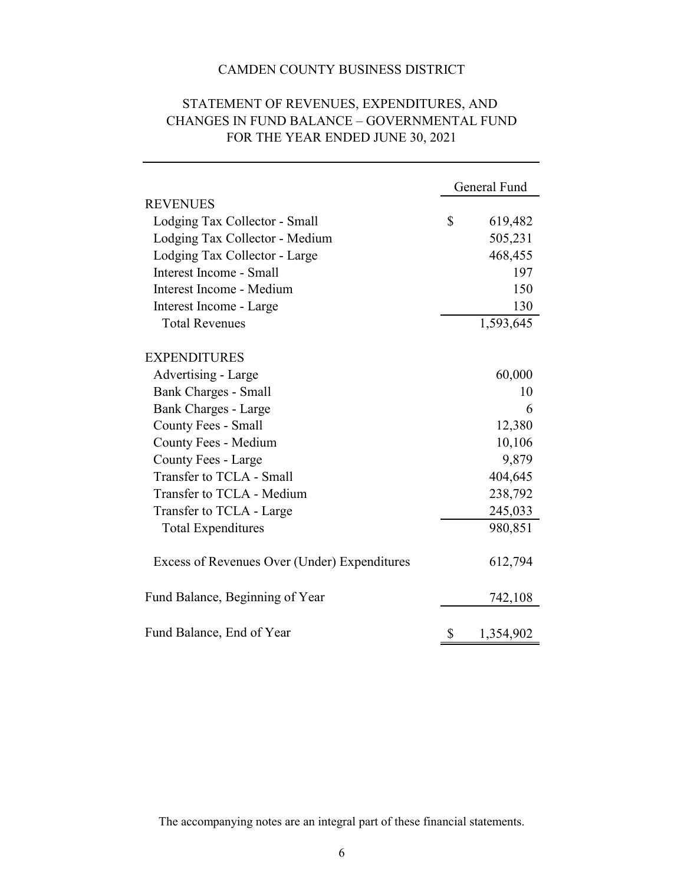|                                              | General Fund    |
|----------------------------------------------|-----------------|
| <b>REVENUES</b>                              |                 |
| Lodging Tax Collector - Small                | \$<br>619,482   |
| Lodging Tax Collector - Medium               | 505,231         |
| Lodging Tax Collector - Large                | 468,455         |
| Interest Income - Small                      | 197             |
| Interest Income - Medium                     | 150             |
| Interest Income - Large                      | 130             |
| <b>Total Revenues</b>                        | 1,593,645       |
| <b>EXPENDITURES</b>                          |                 |
| Advertising - Large                          | 60,000          |
| <b>Bank Charges - Small</b>                  | 10              |
| <b>Bank Charges - Large</b>                  | 6               |
| County Fees - Small                          | 12,380          |
| County Fees - Medium                         | 10,106          |
| County Fees - Large                          | 9,879           |
| Transfer to TCLA - Small                     | 404,645         |
| Transfer to TCLA - Medium                    | 238,792         |
| Transfer to TCLA - Large                     | 245,033         |
| <b>Total Expenditures</b>                    | 980,851         |
| Excess of Revenues Over (Under) Expenditures | 612,794         |
| Fund Balance, Beginning of Year              | 742,108         |
| Fund Balance, End of Year                    | \$<br>1,354,902 |

# STATEMENT OF REVENUES, EXPENDITURES, AND CHANGES IN FUND BALANCE – GOVERNMENTAL FUND FOR THE YEAR ENDED JUNE 30, 2021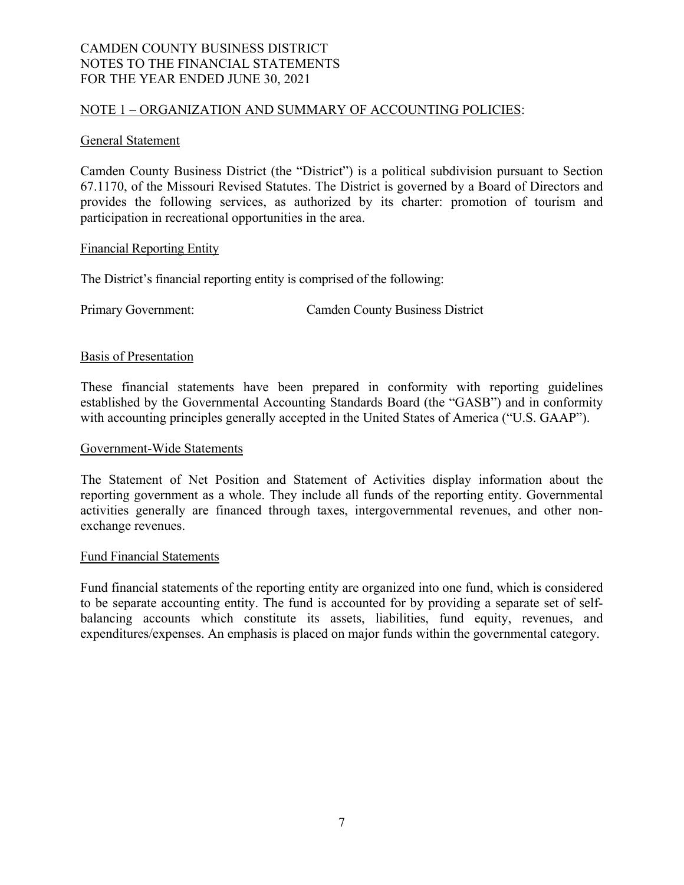#### NOTE 1 – ORGANIZATION AND SUMMARY OF ACCOUNTING POLICIES:

#### General Statement

Camden County Business District (the "District") is a political subdivision pursuant to Section 67.1170, of the Missouri Revised Statutes. The District is governed by a Board of Directors and provides the following services, as authorized by its charter: promotion of tourism and participation in recreational opportunities in the area.

#### Financial Reporting Entity

The District's financial reporting entity is comprised of the following:

Primary Government: Camden County Business District

#### Basis of Presentation

These financial statements have been prepared in conformity with reporting guidelines established by the Governmental Accounting Standards Board (the "GASB") and in conformity with accounting principles generally accepted in the United States of America ("U.S. GAAP").

#### Government-Wide Statements

The Statement of Net Position and Statement of Activities display information about the reporting government as a whole. They include all funds of the reporting entity. Governmental activities generally are financed through taxes, intergovernmental revenues, and other nonexchange revenues.

#### Fund Financial Statements

Fund financial statements of the reporting entity are organized into one fund, which is considered to be separate accounting entity. The fund is accounted for by providing a separate set of selfbalancing accounts which constitute its assets, liabilities, fund equity, revenues, and expenditures/expenses. An emphasis is placed on major funds within the governmental category.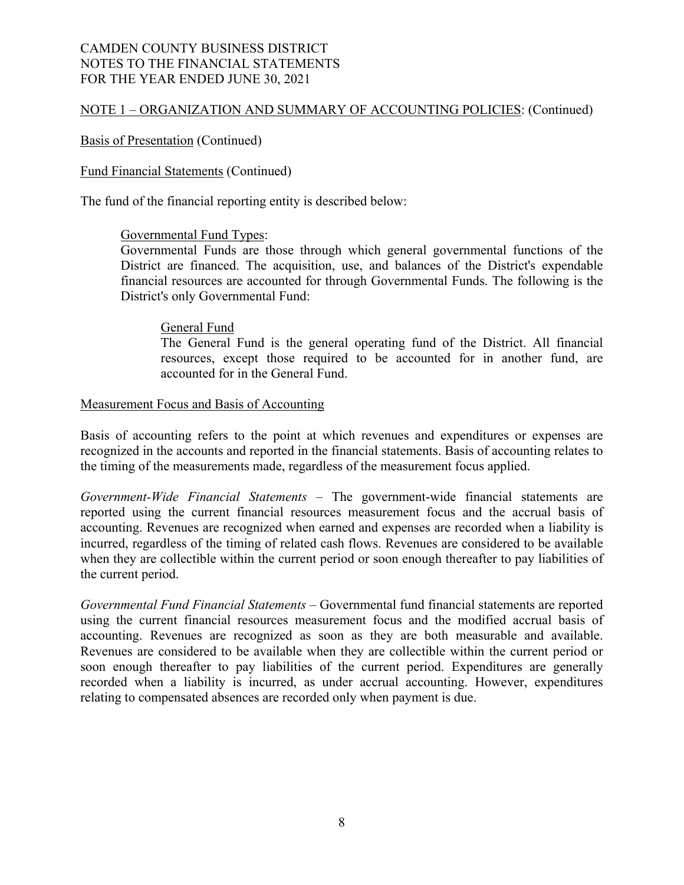# NOTE 1 – ORGANIZATION AND SUMMARY OF ACCOUNTING POLICIES: (Continued)

#### Basis of Presentation (Continued)

#### Fund Financial Statements (Continued)

The fund of the financial reporting entity is described below:

#### Governmental Fund Types:

Governmental Funds are those through which general governmental functions of the District are financed. The acquisition, use, and balances of the District's expendable financial resources are accounted for through Governmental Funds. The following is the District's only Governmental Fund:

#### General Fund

The General Fund is the general operating fund of the District. All financial resources, except those required to be accounted for in another fund, are accounted for in the General Fund.

#### Measurement Focus and Basis of Accounting

Basis of accounting refers to the point at which revenues and expenditures or expenses are recognized in the accounts and reported in the financial statements. Basis of accounting relates to the timing of the measurements made, regardless of the measurement focus applied.

*Government-Wide Financial Statements* – The government-wide financial statements are reported using the current financial resources measurement focus and the accrual basis of accounting. Revenues are recognized when earned and expenses are recorded when a liability is incurred, regardless of the timing of related cash flows. Revenues are considered to be available when they are collectible within the current period or soon enough thereafter to pay liabilities of the current period.

*Governmental Fund Financial Statements* – Governmental fund financial statements are reported using the current financial resources measurement focus and the modified accrual basis of accounting. Revenues are recognized as soon as they are both measurable and available. Revenues are considered to be available when they are collectible within the current period or soon enough thereafter to pay liabilities of the current period. Expenditures are generally recorded when a liability is incurred, as under accrual accounting. However, expenditures relating to compensated absences are recorded only when payment is due.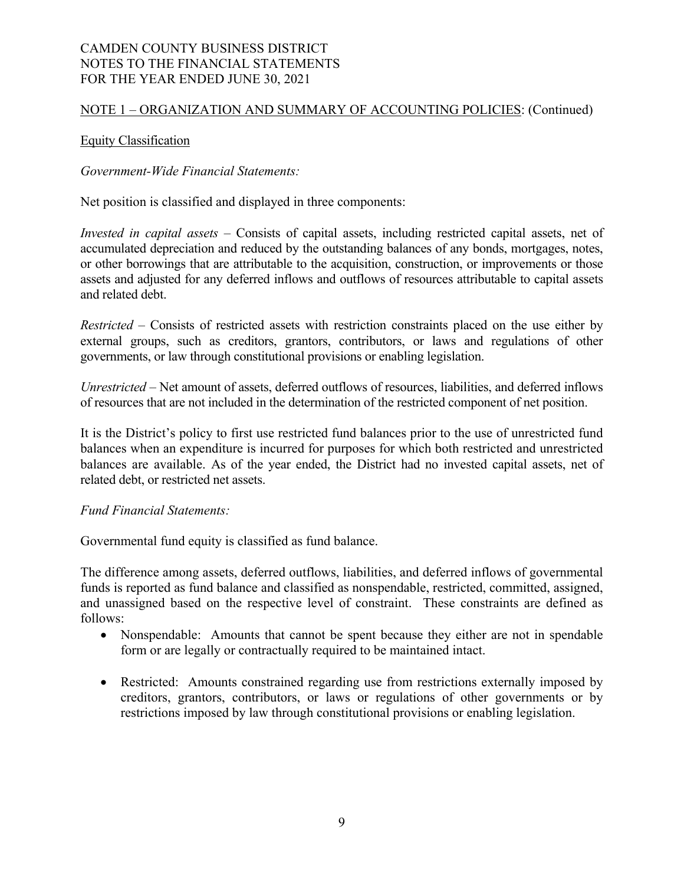#### NOTE 1 – ORGANIZATION AND SUMMARY OF ACCOUNTING POLICIES: (Continued)

#### Equity Classification

*Government-Wide Financial Statements:* 

Net position is classified and displayed in three components:

*Invested in capital assets –* Consists of capital assets, including restricted capital assets, net of accumulated depreciation and reduced by the outstanding balances of any bonds, mortgages, notes, or other borrowings that are attributable to the acquisition, construction, or improvements or those assets and adjusted for any deferred inflows and outflows of resources attributable to capital assets and related debt.

*Restricted* – Consists of restricted assets with restriction constraints placed on the use either by external groups, such as creditors, grantors, contributors, or laws and regulations of other governments, or law through constitutional provisions or enabling legislation.

*Unrestricted* – Net amount of assets, deferred outflows of resources, liabilities, and deferred inflows of resources that are not included in the determination of the restricted component of net position.

It is the District's policy to first use restricted fund balances prior to the use of unrestricted fund balances when an expenditure is incurred for purposes for which both restricted and unrestricted balances are available. As of the year ended, the District had no invested capital assets, net of related debt, or restricted net assets.

#### *Fund Financial Statements:*

Governmental fund equity is classified as fund balance.

The difference among assets, deferred outflows, liabilities, and deferred inflows of governmental funds is reported as fund balance and classified as nonspendable, restricted, committed, assigned, and unassigned based on the respective level of constraint. These constraints are defined as follows:

- Nonspendable: Amounts that cannot be spent because they either are not in spendable form or are legally or contractually required to be maintained intact.
- Restricted: Amounts constrained regarding use from restrictions externally imposed by creditors, grantors, contributors, or laws or regulations of other governments or by restrictions imposed by law through constitutional provisions or enabling legislation.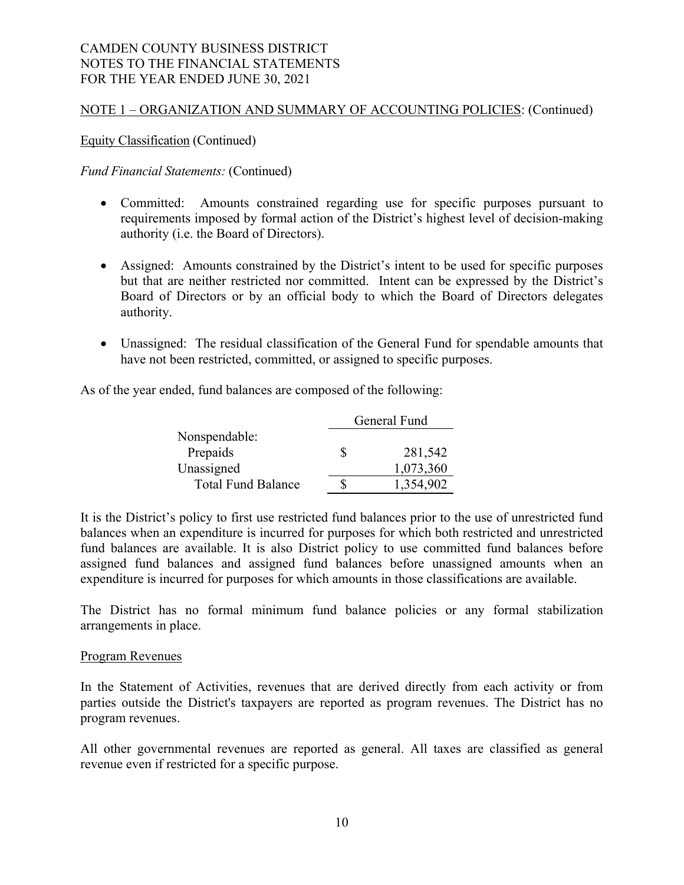# NOTE 1 – ORGANIZATION AND SUMMARY OF ACCOUNTING POLICIES: (Continued)

Equity Classification (Continued)

#### *Fund Financial Statements:* (Continued)

- Committed: Amounts constrained regarding use for specific purposes pursuant to requirements imposed by formal action of the District's highest level of decision-making authority (i.e. the Board of Directors).
- Assigned: Amounts constrained by the District's intent to be used for specific purposes but that are neither restricted nor committed. Intent can be expressed by the District's Board of Directors or by an official body to which the Board of Directors delegates authority.
- Unassigned: The residual classification of the General Fund for spendable amounts that have not been restricted, committed, or assigned to specific purposes.

As of the year ended, fund balances are composed of the following:

|                           | General Fund |  |  |
|---------------------------|--------------|--|--|
| Nonspendable:             |              |  |  |
| Prepaids                  | 281,542      |  |  |
| Unassigned                | 1,073,360    |  |  |
| <b>Total Fund Balance</b> | 1,354,902    |  |  |

It is the District's policy to first use restricted fund balances prior to the use of unrestricted fund balances when an expenditure is incurred for purposes for which both restricted and unrestricted fund balances are available. It is also District policy to use committed fund balances before assigned fund balances and assigned fund balances before unassigned amounts when an expenditure is incurred for purposes for which amounts in those classifications are available.

The District has no formal minimum fund balance policies or any formal stabilization arrangements in place.

#### Program Revenues

In the Statement of Activities, revenues that are derived directly from each activity or from parties outside the District's taxpayers are reported as program revenues. The District has no program revenues.

All other governmental revenues are reported as general. All taxes are classified as general revenue even if restricted for a specific purpose.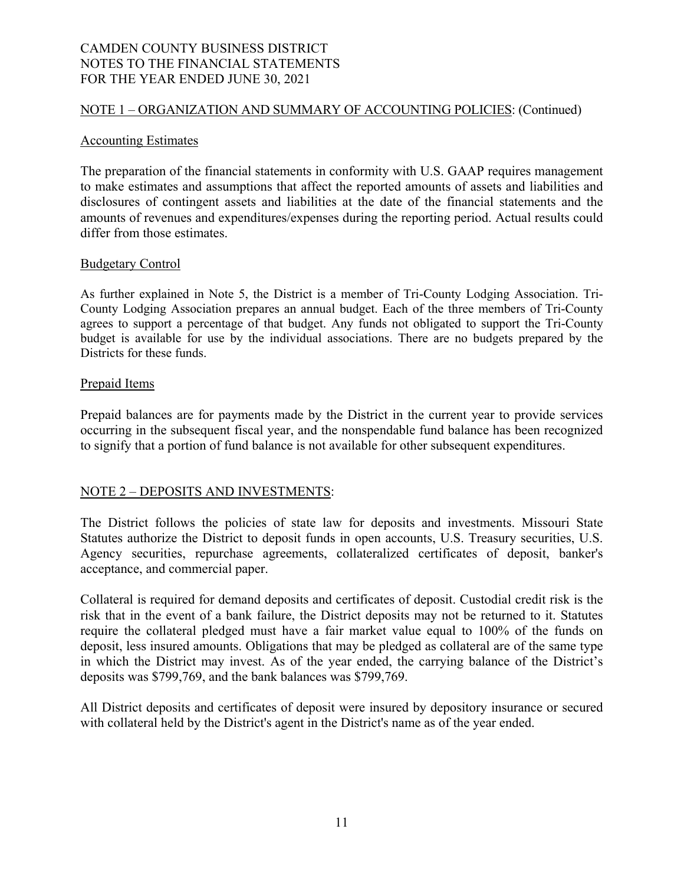#### NOTE 1 – ORGANIZATION AND SUMMARY OF ACCOUNTING POLICIES: (Continued)

#### Accounting Estimates

The preparation of the financial statements in conformity with U.S. GAAP requires management to make estimates and assumptions that affect the reported amounts of assets and liabilities and disclosures of contingent assets and liabilities at the date of the financial statements and the amounts of revenues and expenditures/expenses during the reporting period. Actual results could differ from those estimates.

#### Budgetary Control

As further explained in Note 5, the District is a member of Tri-County Lodging Association. Tri-County Lodging Association prepares an annual budget. Each of the three members of Tri-County agrees to support a percentage of that budget. Any funds not obligated to support the Tri-County budget is available for use by the individual associations. There are no budgets prepared by the Districts for these funds.

#### Prepaid Items

Prepaid balances are for payments made by the District in the current year to provide services occurring in the subsequent fiscal year, and the nonspendable fund balance has been recognized to signify that a portion of fund balance is not available for other subsequent expenditures.

#### NOTE 2 – DEPOSITS AND INVESTMENTS:

The District follows the policies of state law for deposits and investments. Missouri State Statutes authorize the District to deposit funds in open accounts, U.S. Treasury securities, U.S. Agency securities, repurchase agreements, collateralized certificates of deposit, banker's acceptance, and commercial paper.

Collateral is required for demand deposits and certificates of deposit. Custodial credit risk is the risk that in the event of a bank failure, the District deposits may not be returned to it. Statutes require the collateral pledged must have a fair market value equal to 100% of the funds on deposit, less insured amounts. Obligations that may be pledged as collateral are of the same type in which the District may invest. As of the year ended, the carrying balance of the District's deposits was \$799,769, and the bank balances was \$799,769.

All District deposits and certificates of deposit were insured by depository insurance or secured with collateral held by the District's agent in the District's name as of the year ended.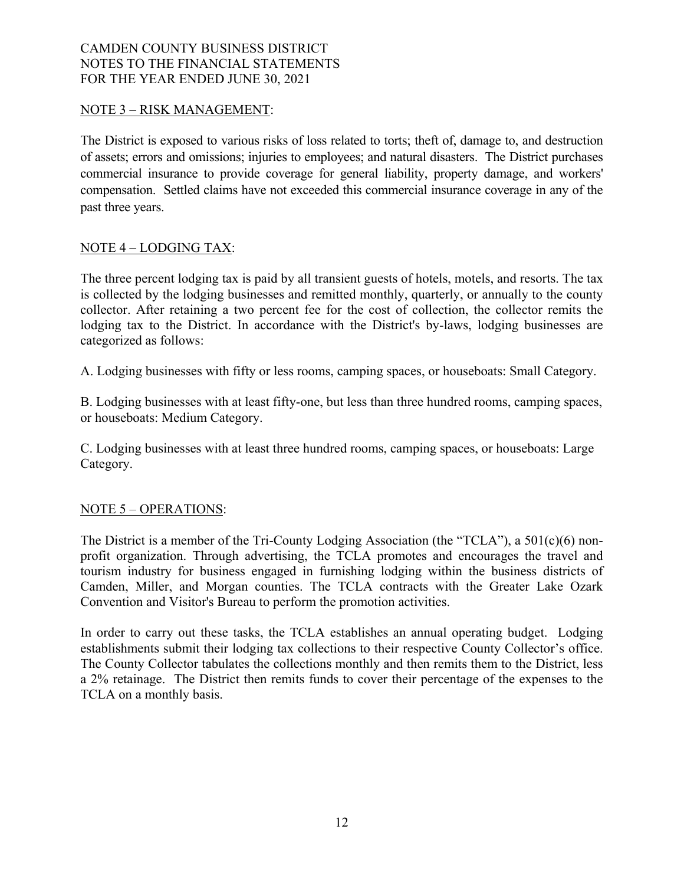#### NOTE 3 – RISK MANAGEMENT:

The District is exposed to various risks of loss related to torts; theft of, damage to, and destruction of assets; errors and omissions; injuries to employees; and natural disasters. The District purchases commercial insurance to provide coverage for general liability, property damage, and workers' compensation. Settled claims have not exceeded this commercial insurance coverage in any of the past three years.

### NOTE 4 – LODGING TAX:

The three percent lodging tax is paid by all transient guests of hotels, motels, and resorts. The tax is collected by the lodging businesses and remitted monthly, quarterly, or annually to the county collector. After retaining a two percent fee for the cost of collection, the collector remits the lodging tax to the District. In accordance with the District's by-laws, lodging businesses are categorized as follows:

A. Lodging businesses with fifty or less rooms, camping spaces, or houseboats: Small Category.

B. Lodging businesses with at least fifty-one, but less than three hundred rooms, camping spaces, or houseboats: Medium Category.

C. Lodging businesses with at least three hundred rooms, camping spaces, or houseboats: Large Category.

#### NOTE 5 – OPERATIONS:

The District is a member of the Tri-County Lodging Association (the "TCLA"), a 501(c)(6) nonprofit organization. Through advertising, the TCLA promotes and encourages the travel and tourism industry for business engaged in furnishing lodging within the business districts of Camden, Miller, and Morgan counties. The TCLA contracts with the Greater Lake Ozark Convention and Visitor's Bureau to perform the promotion activities.

In order to carry out these tasks, the TCLA establishes an annual operating budget. Lodging establishments submit their lodging tax collections to their respective County Collector's office. The County Collector tabulates the collections monthly and then remits them to the District, less a 2% retainage. The District then remits funds to cover their percentage of the expenses to the TCLA on a monthly basis.